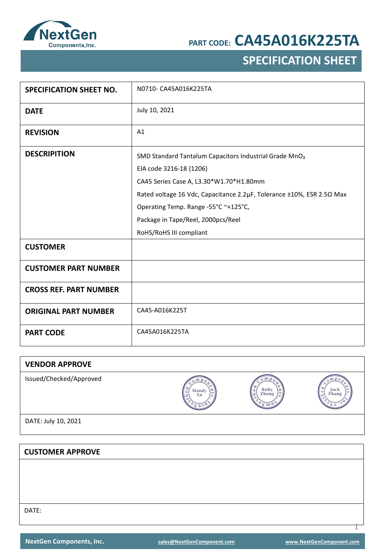

## **SPECIFICATION SHEET**

| <b>SPECIFICATION SHEET NO.</b> | N0710- CA45A016K225TA                                                                                                                                                                                                                                                                                                      |
|--------------------------------|----------------------------------------------------------------------------------------------------------------------------------------------------------------------------------------------------------------------------------------------------------------------------------------------------------------------------|
| <b>DATE</b>                    | July 10, 2021                                                                                                                                                                                                                                                                                                              |
| <b>REVISION</b>                | A1                                                                                                                                                                                                                                                                                                                         |
| <b>DESCRIPITION</b>            | SMD Standard Tantalum Capacitors Industrial Grade MnO <sub>2</sub><br>EIA code 3216-18 (1206)<br>CA45 Series Case A, L3.30*W1.70*H1.80mm<br>Rated voltage 16 Vdc, Capacitance 2.2µF, Tolerance ±10%, ESR 2.50 Max<br>Operating Temp. Range -55°C ~+125°C,<br>Package in Tape/Reel, 2000pcs/Reel<br>RoHS/RoHS III compliant |
| <b>CUSTOMER</b>                |                                                                                                                                                                                                                                                                                                                            |
| <b>CUSTOMER PART NUMBER</b>    |                                                                                                                                                                                                                                                                                                                            |
| <b>CROSS REF. PART NUMBER</b>  |                                                                                                                                                                                                                                                                                                                            |
| <b>ORIGINAL PART NUMBER</b>    | CA45-A016K225T                                                                                                                                                                                                                                                                                                             |
| <b>PART CODE</b>               | CA45A016K225TA                                                                                                                                                                                                                                                                                                             |

| <b>VENDOR APPROVE</b>   |                  |                    |                    |
|-------------------------|------------------|--------------------|--------------------|
| Issued/Checked/Approved | Mandy<br>÷<br>Xu | Rub<br>Zhang<br>تا | Jack<br>Zhang<br>o |
| DATE: July 10, 2021     |                  |                    |                    |

**CUSTOMER APPROVE** DATE:

1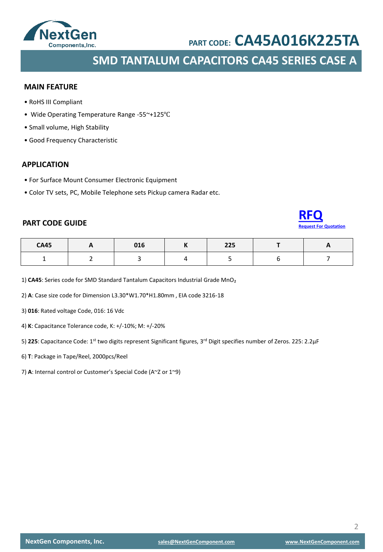

**SMD TANTALUM CAPACITORS CA45 SERIES CASE A**

#### **MAIN FEATURE**

- RoHS III Compliant
- Wide Operating Temperature Range -55~+125℃
- Small volume, High Stability
- Good Frequency Characteristic

#### **APPLICATION**

- For Surface Mount Consumer Electronic Equipment
- Color TV sets, PC, Mobile Telephone sets Pickup camera Radar etc.

### **PART CODE GUIDE**



| <b>CA45</b> | 016 | 225<br>225 | - - |
|-------------|-----|------------|-----|
|             |     |            |     |

1) CA45: Series code for SMD Standard Tantalum Capacitors Industrial Grade MnO<sub>2</sub>

2) **A**: Case size code for Dimension L3.30\*W1.70\*H1.80mm , EIA code 3216-18

3) **016**: Rated voltage Code, 016: 16 Vdc

4) **K**: Capacitance Tolerance code, K: +/-10%; M: +/-20%

5) **225**: Capacitance Code: 1st two digits represent Significant figures, 3rd Digit specifies number of Zeros. 225: 2.2μF

- 6) **T**: Package in Tape/Reel, 2000pcs/Reel
- 7) **A**: Internal control or Customer's Special Code (A~Z or 1~9)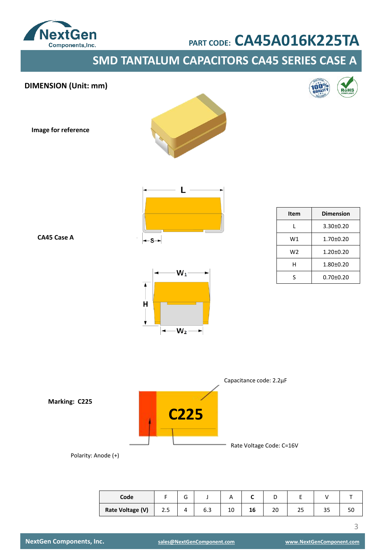

**SMD TANTALUM CAPACITORS CA45 SERIES CASE A**





| Code             |     | ∽ |     | $\cdot$ |    | -  |    |     |    |
|------------------|-----|---|-----|---------|----|----|----|-----|----|
| Rate Voltage (V) | د.2 |   | b.3 | 10      | 16 | 20 | رے | ر ر | υc |

3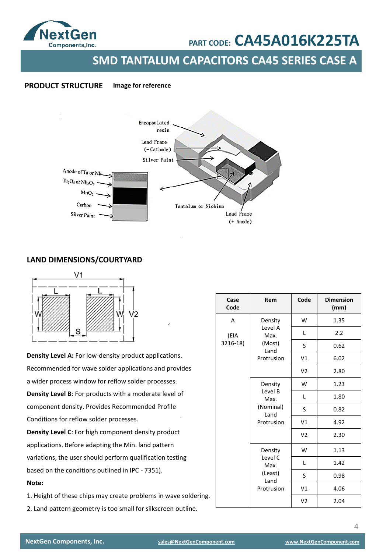

**SMD TANTALUM CAPACITORS CA45 SERIES CASE A**

#### **PRODUCT STRUCTURE Image for reference**



### **LAND DIMENSIONS/COURTYARD**



**Density Level A:** For low-density product applications. Recommended for wave solder applications and provides a wider process window for reflow solder processes. **Density Level B**: For products with a moderate level of component density. Provides Recommended Profile Conditions for reflow solder processes. **Density Level C**: For high component density product

applications. Before adapting the Min. land pattern variations, the user should perform qualification testing based on the conditions outlined in IPC - 7351). **Note:** 

1. Height of these chips may create problems in wave soldering.

2. Land pattern geometry is too small for silkscreen outline.

| Case<br>Code | Item                                                                        | Code           | <b>Dimension</b><br>(mm) |
|--------------|-----------------------------------------------------------------------------|----------------|--------------------------|
| A            | Density                                                                     | W              | 1.35                     |
| (EIA         | Level A<br>Max.                                                             | L              | 2.2                      |
| 3216-18)     | (Most)<br>Land                                                              | S              | 0.62                     |
|              | Protrusion<br>Density<br>Level B<br>Max.<br>(Nominal)<br>Land<br>Protrusion | V1             | 6.02                     |
|              |                                                                             | V <sub>2</sub> | 2.80                     |
|              |                                                                             | W              | 1.23                     |
|              |                                                                             | Г              | 1.80                     |
|              |                                                                             | S              | 0.82                     |
|              |                                                                             | V1             | 4.92                     |
|              |                                                                             | V <sub>2</sub> | 2.30                     |
|              | Density                                                                     | W              | 1.13                     |
|              | Level C<br>Max.<br>(Least)<br>Land<br>Protrusion                            | L              | 1.42                     |
|              |                                                                             | S              | 0.98                     |
|              |                                                                             | V1             | 4.06                     |
|              |                                                                             | V <sub>2</sub> | 2.04                     |

4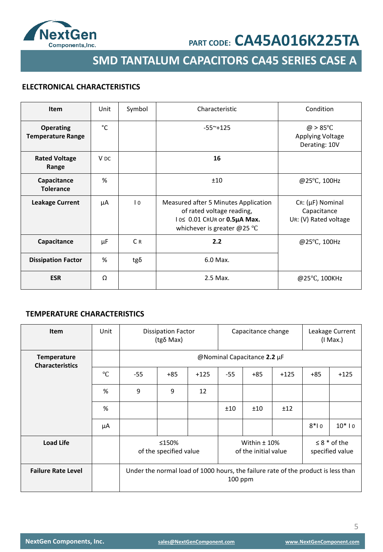

**SMD TANTALUM CAPACITORS CA45 SERIES CASE A**

### **ELECTRONICAL CHARACTERISTICS**

| Item                                         | Unit            | Symbol         | Characteristic                                                                                                                             | Condition                                                           |
|----------------------------------------------|-----------------|----------------|--------------------------------------------------------------------------------------------------------------------------------------------|---------------------------------------------------------------------|
| <b>Operating</b><br><b>Temperature Range</b> | °C              |                | $-55^{\sim}+125$                                                                                                                           | $\omega > 85^{\circ}$ C<br><b>Applying Voltage</b><br>Derating: 10V |
| <b>Rated Voltage</b><br>Range                | V <sub>DC</sub> |                | 16                                                                                                                                         |                                                                     |
| Capacitance<br><b>Tolerance</b>              | %               |                | ±10                                                                                                                                        | @25°C, 100Hz                                                        |
| <b>Leakage Current</b>                       | μA              | $\overline{0}$ | Measured after 5 Minutes Application<br>of rated voltage reading,<br>1 0≤ 0.01 CRUR or 0.5µA Max.<br>whichever is greater @25 $^{\circ}$ C | $Cr: (\mu F)$ Nominal<br>Capacitance<br>UR: (V) Rated voltage       |
| Capacitance                                  | μF              | C <sub>R</sub> | 2.2                                                                                                                                        | @25°C, 100Hz                                                        |
| <b>Dissipation Factor</b>                    | %               | $tg\delta$     | 6.0 Max.                                                                                                                                   |                                                                     |
| <b>ESR</b>                                   | Ω               |                | 2.5 Max.                                                                                                                                   | @25°C, 100KHz                                                       |

### **TEMPERATURE CHARACTERISTICS**

| <b>Item</b>                                  | Unit      | Capacitance change<br><b>Dissipation Factor</b><br>(tgδ Max) |                                                                                              |        |       | Leakage Current<br>$(1$ Max.)          |        |        |                                      |
|----------------------------------------------|-----------|--------------------------------------------------------------|----------------------------------------------------------------------------------------------|--------|-------|----------------------------------------|--------|--------|--------------------------------------|
| <b>Temperature</b><br><b>Characteristics</b> |           |                                                              |                                                                                              |        |       | @Nominal Capacitance 2.2 µF            |        |        |                                      |
|                                              | $\circ$ C | $-55$                                                        | $+85$                                                                                        | $+125$ | $-55$ | $+85$                                  | $+125$ | $+85$  | $+125$                               |
|                                              | %         | 9                                                            | 9                                                                                            | 12     |       |                                        |        |        |                                      |
|                                              | %         |                                                              |                                                                                              |        | ±10   | ±10                                    | ±12    |        |                                      |
|                                              | μA        |                                                              |                                                                                              |        |       |                                        |        | $8*10$ | $10*10$                              |
| <b>Load Life</b>                             |           |                                                              | ≤150%<br>of the specified value                                                              |        |       | Within $±$ 10%<br>of the initial value |        |        | $\leq 8$ * of the<br>specified value |
| <b>Failure Rate Level</b>                    |           |                                                              | Under the normal load of 1000 hours, the failure rate of the product is less than<br>100 ppm |        |       |                                        |        |        |                                      |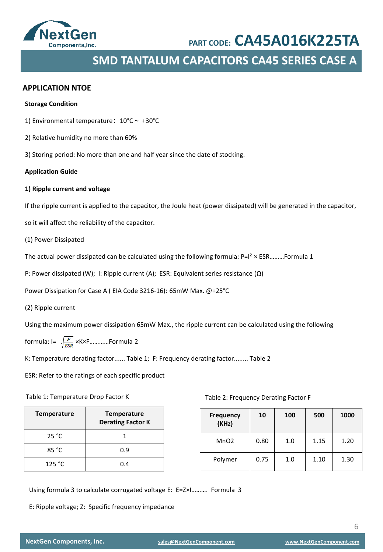

### **SMD TANTALUM CAPACITORS CA45 SERIES CASE A**

#### **APPLICATION NTOE**

#### **Storage Condition**

- 1) Environmental temperature:  $10^{\circ}$ C ~ +30°C
- 2) Relative humidity no more than 60%
- 3) Storing period: No more than one and half year since the date of stocking.

#### **Application Guide**

#### **1) Ripple current and voltage**

If the ripple current is applied to the capacitor, the Joule heat (power dissipated) will be generated in the capacitor,

so it will affect the reliability of the capacitor.

(1) Power Dissipated

The actual power dissipated can be calculated using the following formula:  $P=I^2 \times ESR$ ………Formula 1

P: Power dissipated (W); I: Ripple current (A); ESR: Equivalent series resistance (Ω)

Power Dissipation for Case A ( EIA Code 3216-16): 65mW Max. @+25°C

(2) Ripple current

Using the maximum power dissipation 65mW Max., the ripple current can be calculated using the following

formula:  $I = \sqrt{\frac{P}{ESR}}$  ×K×F............Formula 2

K: Temperature derating factor...... Table 1; F: Frequency derating factor........ Table 2

ESR: Refer to the ratings of each specific product

#### Table 1: Temperature Drop Factor K

| <b>Temperature</b> | <b>Temperature</b><br><b>Derating Factor K</b> |
|--------------------|------------------------------------------------|
| 25 °C              |                                                |
| 85 °C              | 0.9                                            |
| 125 °C             | በ 4                                            |

Table 2: Frequency Derating Factor F

| <b>Frequency</b><br>(KHz) | 10   | 100 | 500  | 1000 |
|---------------------------|------|-----|------|------|
| MnO <sub>2</sub>          | 0.80 | 1.0 | 1.15 | 1.20 |
| Polymer                   | 0.75 | 1.0 | 1.10 | 1.30 |

Using formula 3 to calculate corrugated voltage E: E=Z×I………. Formula 3

E: Ripple voltage; Z: Specific frequency impedance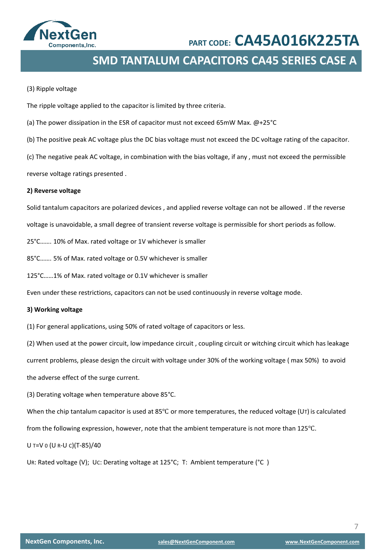

### **SMD TANTALUM CAPACITORS CA45 SERIES CASE A**

#### (3) Ripple voltage

The ripple voltage applied to the capacitor is limited by three criteria.

- (a) The power dissipation in the ESR of capacitor must not exceed 65mW Max. @+25°C
- (b) The positive peak AC voltage plus the DC bias voltage must not exceed the DC voltage rating of the capacitor.

(c) The negative peak AC voltage, in combination with the bias voltage, if any , must not exceed the permissible

reverse voltage ratings presented .

#### **2) Reverse voltage**

Solid tantalum capacitors are polarized devices , and applied reverse voltage can not be allowed . If the reverse

voltage is unavoidable, a small degree of transient reverse voltage is permissible for short periods as follow.

25°C……. 10% of Max. rated voltage or 1V whichever is smaller

85°C……. 5% of Max. rated voltage or 0.5V whichever is smaller

125°C……1% of Max. rated voltage or 0.1V whichever is smaller

Even under these restrictions, capacitors can not be used continuously in reverse voltage mode.

#### **3) Working voltage**

(1) For general applications, using 50% of rated voltage of capacitors or less.

(2) When used at the power circuit, low impedance circuit , coupling circuit or witching circuit which has leakage current problems, please design the circuit with voltage under 30% of the working voltage ( max 50%) to avoid

the adverse effect of the surge current.

(3) Derating voltage when temperature above 85°C.

When the chip tantalum capacitor is used at 85<sup>°</sup>C or more temperatures, the reduced voltage (UT) is calculated

from the following expression, however, note that the ambient temperature is not more than 125℃.

U T=V 0 (U R-U C)(T-85)/40

UR: Rated voltage (V); UC: Derating voltage at 125°C; T: Ambient temperature (°C )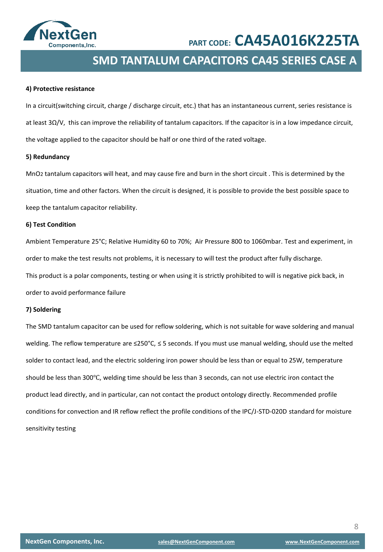

### **SMD TANTALUM CAPACITORS CA45 SERIES CASE A**

#### **4) Protective resistance**

In a circuit(switching circuit, charge / discharge circuit, etc.) that has an instantaneous current, series resistance is at least 3Ω/V, this can improve the reliability of tantalum capacitors. If the capacitor is in a low impedance circuit, the voltage applied to the capacitor should be half or one third of the rated voltage.

#### **5) Redundancy**

MnO2 tantalum capacitors will heat, and may cause fire and burn in the short circuit . This is determined by the situation, time and other factors. When the circuit is designed, it is possible to provide the best possible space to keep the tantalum capacitor reliability.

#### **6) Test Condition**

Ambient Temperature 25°C; Relative Humidity 60 to 70%; Air Pressure 800 to 1060mbar. Test and experiment, in order to make the test results not problems, it is necessary to will test the product after fully discharge. This product is a polar components, testing or when using it is strictly prohibited to will is negative pick back, in order to avoid performance failure

#### **7) Soldering**

The SMD tantalum capacitor can be used for reflow soldering, which is not suitable for wave soldering and manual welding. The reflow temperature are ≤250°C, ≤ 5 seconds. If you must use manual welding, should use the melted solder to contact lead, and the electric soldering iron power should be less than or equal to 25W, temperature should be less than 300℃, welding time should be less than 3 seconds, can not use electric iron contact the product lead directly, and in particular, can not contact the product ontology directly. Recommended profile conditions for convection and IR reflow reflect the profile conditions of the IPC/J-STD-020D standard for moisture sensitivity testing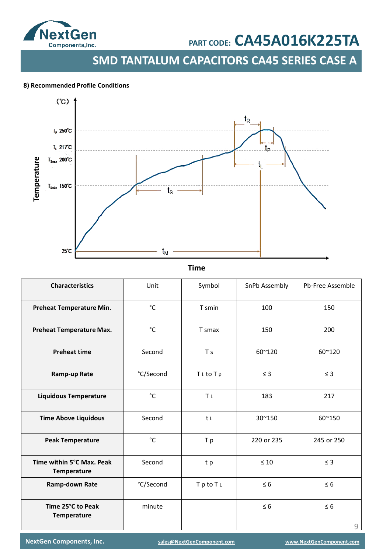

**SMD TANTALUM CAPACITORS CA45 SERIES CASE A**

#### . **8) Recommended Profile Conditions**



**Time**

| <b>Characteristics</b>                   | Unit      | Symbol                | SnPb Assembly | Pb-Free Assemble |
|------------------------------------------|-----------|-----------------------|---------------|------------------|
| Preheat Temperature Min.                 | °C        | T smin                | 100           | 150              |
| <b>Preheat Temperature Max.</b>          | °C        | T smax                | 150           | 200              |
| <b>Preheat time</b>                      | Second    | T <sub>s</sub>        | 60~120        | 60~120           |
| Ramp-up Rate                             | °C/Second | TLtoTp                | $\leq$ 3      | $\leq$ 3         |
| <b>Liquidous Temperature</b>             | °C        | <b>Τ</b> <sub>L</sub> | 183           | 217              |
| <b>Time Above Liquidous</b>              | Second    | t L                   | 30~150        | 60~150           |
| <b>Peak Temperature</b>                  | °C        | T p                   | 220 or 235    | 245 or 250       |
| Time within 5°C Max. Peak<br>Temperature | Second    | t p                   | $\leq 10$     | $\leq$ 3         |
| Ramp-down Rate                           | °C/Second | TptoTL                | $\leq 6$      | $\leq 6$         |
| Time 25°C to Peak<br>Temperature         | minute    |                       | $\leq 6$      | $\leq 6$<br>9    |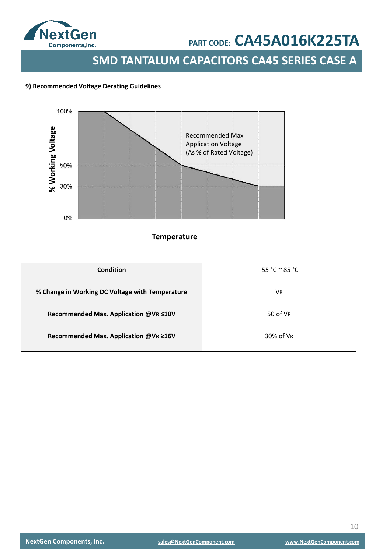

### **SMD TANTALUM CAPACITORS CA45 SERIES CASE A**

#### **9) Recommended Voltage Derating Guidelines**



#### **Temperature**

| Condition                                       | $-55 °C ° 85 °C$ |
|-------------------------------------------------|------------------|
| % Change in Working DC Voltage with Temperature | VR               |
| Recommended Max. Application @VR ≤10V           | 50 of VR         |
| Recommended Max. Application @VR ≥16V           | 30% of VR        |